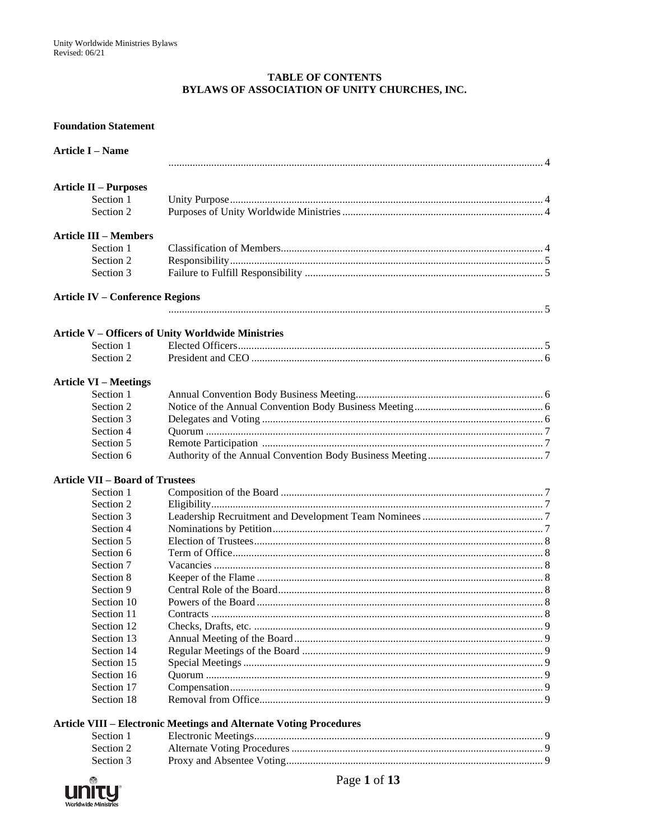#### **TABLE OF CONTENTS** BYLAWS OF ASSOCIATION OF UNITY CHURCHES, INC.

#### **Foundation Statement**

| <b>Article II – Purposes</b><br>Section 1<br>Section 2<br><b>Article III – Members</b><br>Section 1<br>Section 2<br>Section 3<br><b>Article IV - Conference Regions</b><br>Article V - Officers of Unity Worldwide Ministries<br>Section 1<br>Section 2<br><b>Article VI - Meetings</b><br>Section 1<br>Section 2<br>Section 3<br>Section 4<br>Section 5<br>Section 6<br><b>Article VII - Board of Trustees</b><br>Section 1<br>Section 2<br>Section 3<br>Section 4<br>Section 5<br>Section 6<br>Section 7<br>Section 8<br>Section 9<br>Section 10<br>Section 11<br>Contracts<br>Section 12<br>Section 13<br>Section 14<br>Section 15<br>Section 16<br>Section 17<br>Section 18<br><b>Article VIII - Electronic Meetings and Alternate Voting Procedures</b><br>Section 1<br>Section 2 | <b>Article I - Name</b> |  |
|----------------------------------------------------------------------------------------------------------------------------------------------------------------------------------------------------------------------------------------------------------------------------------------------------------------------------------------------------------------------------------------------------------------------------------------------------------------------------------------------------------------------------------------------------------------------------------------------------------------------------------------------------------------------------------------------------------------------------------------------------------------------------------------|-------------------------|--|
|                                                                                                                                                                                                                                                                                                                                                                                                                                                                                                                                                                                                                                                                                                                                                                                        |                         |  |
|                                                                                                                                                                                                                                                                                                                                                                                                                                                                                                                                                                                                                                                                                                                                                                                        |                         |  |
|                                                                                                                                                                                                                                                                                                                                                                                                                                                                                                                                                                                                                                                                                                                                                                                        |                         |  |
|                                                                                                                                                                                                                                                                                                                                                                                                                                                                                                                                                                                                                                                                                                                                                                                        |                         |  |
|                                                                                                                                                                                                                                                                                                                                                                                                                                                                                                                                                                                                                                                                                                                                                                                        |                         |  |
|                                                                                                                                                                                                                                                                                                                                                                                                                                                                                                                                                                                                                                                                                                                                                                                        |                         |  |
|                                                                                                                                                                                                                                                                                                                                                                                                                                                                                                                                                                                                                                                                                                                                                                                        |                         |  |
|                                                                                                                                                                                                                                                                                                                                                                                                                                                                                                                                                                                                                                                                                                                                                                                        |                         |  |
|                                                                                                                                                                                                                                                                                                                                                                                                                                                                                                                                                                                                                                                                                                                                                                                        |                         |  |
|                                                                                                                                                                                                                                                                                                                                                                                                                                                                                                                                                                                                                                                                                                                                                                                        |                         |  |
|                                                                                                                                                                                                                                                                                                                                                                                                                                                                                                                                                                                                                                                                                                                                                                                        |                         |  |
|                                                                                                                                                                                                                                                                                                                                                                                                                                                                                                                                                                                                                                                                                                                                                                                        |                         |  |
|                                                                                                                                                                                                                                                                                                                                                                                                                                                                                                                                                                                                                                                                                                                                                                                        |                         |  |
|                                                                                                                                                                                                                                                                                                                                                                                                                                                                                                                                                                                                                                                                                                                                                                                        |                         |  |
|                                                                                                                                                                                                                                                                                                                                                                                                                                                                                                                                                                                                                                                                                                                                                                                        |                         |  |
|                                                                                                                                                                                                                                                                                                                                                                                                                                                                                                                                                                                                                                                                                                                                                                                        |                         |  |
|                                                                                                                                                                                                                                                                                                                                                                                                                                                                                                                                                                                                                                                                                                                                                                                        |                         |  |
|                                                                                                                                                                                                                                                                                                                                                                                                                                                                                                                                                                                                                                                                                                                                                                                        |                         |  |
|                                                                                                                                                                                                                                                                                                                                                                                                                                                                                                                                                                                                                                                                                                                                                                                        |                         |  |
|                                                                                                                                                                                                                                                                                                                                                                                                                                                                                                                                                                                                                                                                                                                                                                                        |                         |  |
|                                                                                                                                                                                                                                                                                                                                                                                                                                                                                                                                                                                                                                                                                                                                                                                        |                         |  |
|                                                                                                                                                                                                                                                                                                                                                                                                                                                                                                                                                                                                                                                                                                                                                                                        |                         |  |
|                                                                                                                                                                                                                                                                                                                                                                                                                                                                                                                                                                                                                                                                                                                                                                                        |                         |  |
|                                                                                                                                                                                                                                                                                                                                                                                                                                                                                                                                                                                                                                                                                                                                                                                        |                         |  |
|                                                                                                                                                                                                                                                                                                                                                                                                                                                                                                                                                                                                                                                                                                                                                                                        |                         |  |
|                                                                                                                                                                                                                                                                                                                                                                                                                                                                                                                                                                                                                                                                                                                                                                                        |                         |  |
|                                                                                                                                                                                                                                                                                                                                                                                                                                                                                                                                                                                                                                                                                                                                                                                        |                         |  |
|                                                                                                                                                                                                                                                                                                                                                                                                                                                                                                                                                                                                                                                                                                                                                                                        |                         |  |
|                                                                                                                                                                                                                                                                                                                                                                                                                                                                                                                                                                                                                                                                                                                                                                                        |                         |  |
|                                                                                                                                                                                                                                                                                                                                                                                                                                                                                                                                                                                                                                                                                                                                                                                        |                         |  |
|                                                                                                                                                                                                                                                                                                                                                                                                                                                                                                                                                                                                                                                                                                                                                                                        |                         |  |
|                                                                                                                                                                                                                                                                                                                                                                                                                                                                                                                                                                                                                                                                                                                                                                                        |                         |  |
|                                                                                                                                                                                                                                                                                                                                                                                                                                                                                                                                                                                                                                                                                                                                                                                        |                         |  |
|                                                                                                                                                                                                                                                                                                                                                                                                                                                                                                                                                                                                                                                                                                                                                                                        |                         |  |
|                                                                                                                                                                                                                                                                                                                                                                                                                                                                                                                                                                                                                                                                                                                                                                                        |                         |  |
|                                                                                                                                                                                                                                                                                                                                                                                                                                                                                                                                                                                                                                                                                                                                                                                        |                         |  |
|                                                                                                                                                                                                                                                                                                                                                                                                                                                                                                                                                                                                                                                                                                                                                                                        |                         |  |
|                                                                                                                                                                                                                                                                                                                                                                                                                                                                                                                                                                                                                                                                                                                                                                                        |                         |  |
|                                                                                                                                                                                                                                                                                                                                                                                                                                                                                                                                                                                                                                                                                                                                                                                        |                         |  |
|                                                                                                                                                                                                                                                                                                                                                                                                                                                                                                                                                                                                                                                                                                                                                                                        |                         |  |
|                                                                                                                                                                                                                                                                                                                                                                                                                                                                                                                                                                                                                                                                                                                                                                                        |                         |  |
|                                                                                                                                                                                                                                                                                                                                                                                                                                                                                                                                                                                                                                                                                                                                                                                        |                         |  |



Section 3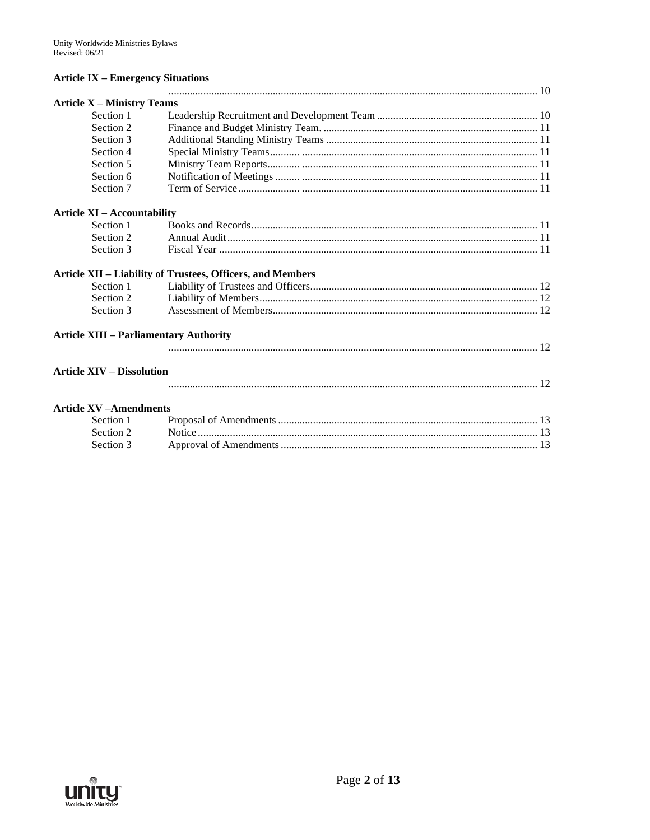#### **Article IX - Emergency Situations**

| <b>Article X - Ministry Teams</b>             |                                                            |
|-----------------------------------------------|------------------------------------------------------------|
| Section 1                                     |                                                            |
| Section 2                                     |                                                            |
| Section 3                                     |                                                            |
| Section 4                                     |                                                            |
| Section 5                                     |                                                            |
| Section 6                                     |                                                            |
| Section 7                                     |                                                            |
| <b>Article XI - Accountability</b>            |                                                            |
| Section 1                                     |                                                            |
| Section 2                                     |                                                            |
| Section 3                                     |                                                            |
|                                               | Article XII - Liability of Trustees, Officers, and Members |
| Section 1                                     |                                                            |
| Section 2                                     |                                                            |
| Section 3                                     |                                                            |
| <b>Article XIII - Parliamentary Authority</b> |                                                            |
|                                               |                                                            |
| <b>Article XIV – Dissolution</b>              |                                                            |
|                                               |                                                            |
| <b>Article XV-Amendments</b>                  |                                                            |
| Section 1                                     |                                                            |
| Section 2                                     |                                                            |
| Section 3                                     |                                                            |

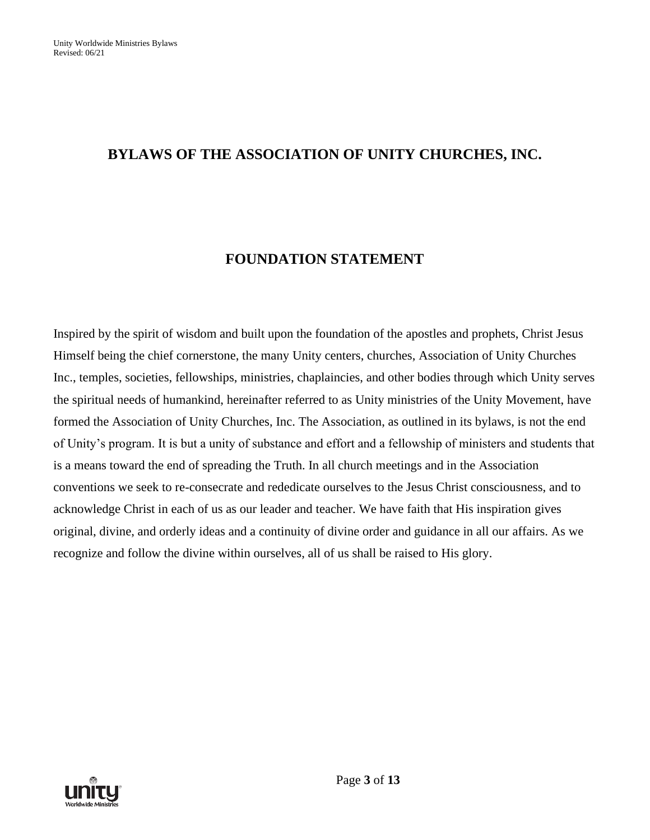# **BYLAWS OF THE ASSOCIATION OF UNITY CHURCHES, INC.**

# **FOUNDATION STATEMENT**

Inspired by the spirit of wisdom and built upon the foundation of the apostles and prophets, Christ Jesus Himself being the chief cornerstone, the many Unity centers, churches, Association of Unity Churches Inc., temples, societies, fellowships, ministries, chaplaincies, and other bodies through which Unity serves the spiritual needs of humankind, hereinafter referred to as Unity ministries of the Unity Movement, have formed the Association of Unity Churches, Inc. The Association, as outlined in its bylaws, is not the end of Unity's program. It is but a unity of substance and effort and a fellowship of ministers and students that is a means toward the end of spreading the Truth. In all church meetings and in the Association conventions we seek to re-consecrate and rededicate ourselves to the Jesus Christ consciousness, and to acknowledge Christ in each of us as our leader and teacher. We have faith that His inspiration gives original, divine, and orderly ideas and a continuity of divine order and guidance in all our affairs. As we recognize and follow the divine within ourselves, all of us shall be raised to His glory.

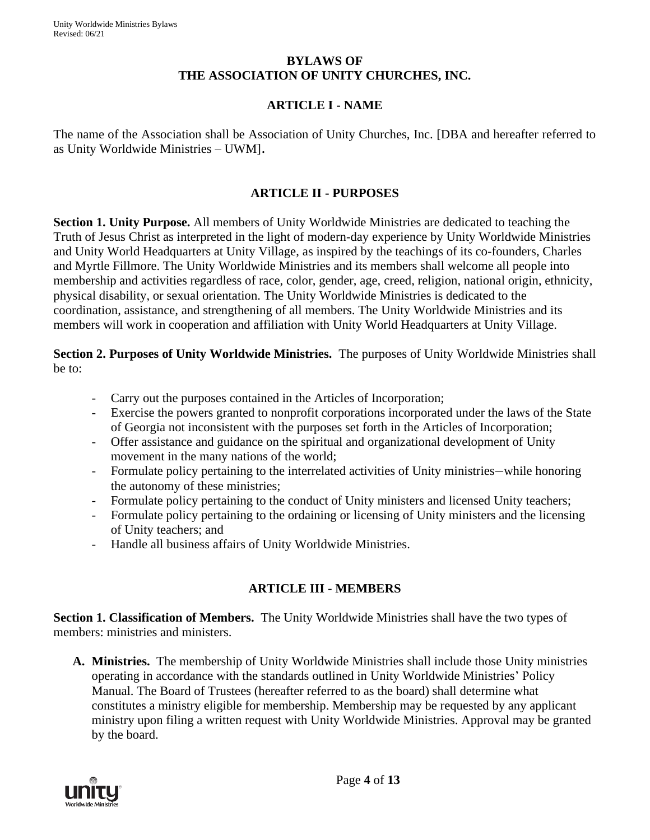#### **BYLAWS OF THE ASSOCIATION OF UNITY CHURCHES, INC.**

### **ARTICLE I - NAME**

The name of the Association shall be Association of Unity Churches, Inc. [DBA and hereafter referred to as Unity Worldwide Ministries – UWM].

#### **ARTICLE II - PURPOSES**

**Section 1. Unity Purpose.** All members of Unity Worldwide Ministries are dedicated to teaching the Truth of Jesus Christ as interpreted in the light of modern-day experience by Unity Worldwide Ministries and Unity World Headquarters at Unity Village, as inspired by the teachings of its co-founders, Charles and Myrtle Fillmore. The Unity Worldwide Ministries and its members shall welcome all people into membership and activities regardless of race, color, gender, age, creed, religion, national origin, ethnicity, physical disability, or sexual orientation. The Unity Worldwide Ministries is dedicated to the coordination, assistance, and strengthening of all members. The Unity Worldwide Ministries and its members will work in cooperation and affiliation with Unity World Headquarters at Unity Village.

**Section 2. Purposes of Unity Worldwide Ministries.** The purposes of Unity Worldwide Ministries shall be to:

- Carry out the purposes contained in the Articles of Incorporation;
- Exercise the powers granted to nonprofit corporations incorporated under the laws of the State of Georgia not inconsistent with the purposes set forth in the Articles of Incorporation;
- Offer assistance and guidance on the spiritual and organizational development of Unity movement in the many nations of the world;
- Formulate policy pertaining to the interrelated activities of Unity ministries—while honoring the autonomy of these ministries;
- Formulate policy pertaining to the conduct of Unity ministers and licensed Unity teachers;
- Formulate policy pertaining to the ordaining or licensing of Unity ministers and the licensing of Unity teachers; and
- Handle all business affairs of Unity Worldwide Ministries.

#### **ARTICLE III - MEMBERS**

**Section 1. Classification of Members.** The Unity Worldwide Ministries shall have the two types of members: ministries and ministers.

**A. Ministries.** The membership of Unity Worldwide Ministries shall include those Unity ministries operating in accordance with the standards outlined in Unity Worldwide Ministries' Policy Manual. The Board of Trustees (hereafter referred to as the board) shall determine what constitutes a ministry eligible for membership. Membership may be requested by any applicant ministry upon filing a written request with Unity Worldwide Ministries. Approval may be granted by the board.

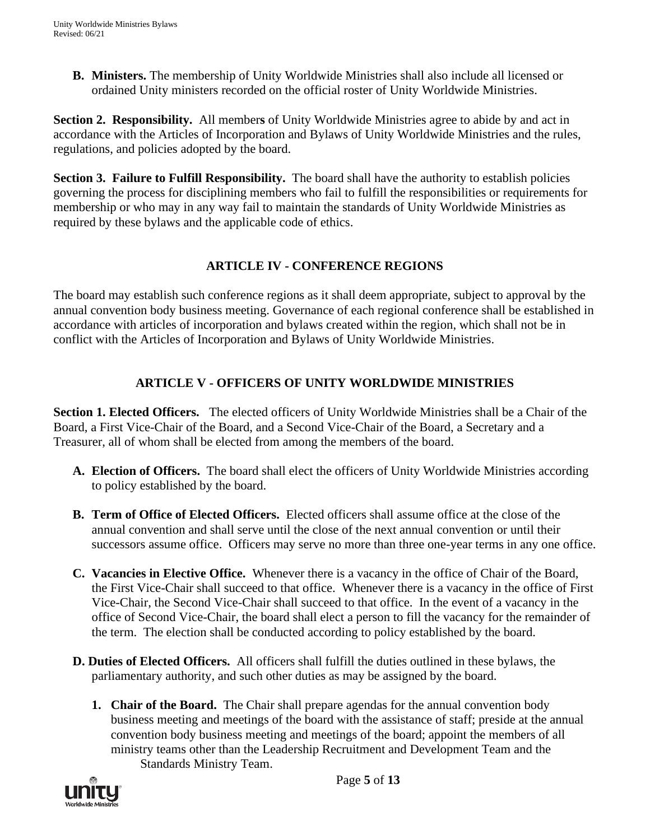**B. Ministers.** The membership of Unity Worldwide Ministries shall also include all licensed or ordained Unity ministers recorded on the official roster of Unity Worldwide Ministries.

**Section 2. Responsibility.** All member**s** of Unity Worldwide Ministries agree to abide by and act in accordance with the Articles of Incorporation and Bylaws of Unity Worldwide Ministries and the rules, regulations, and policies adopted by the board.

**Section 3. Failure to Fulfill Responsibility.** The board shall have the authority to establish policies governing the process for disciplining members who fail to fulfill the responsibilities or requirements for membership or who may in any way fail to maintain the standards of Unity Worldwide Ministries as required by these bylaws and the applicable code of ethics.

## **ARTICLE IV - CONFERENCE REGIONS**

The board may establish such conference regions as it shall deem appropriate, subject to approval by the annual convention body business meeting. Governance of each regional conference shall be established in accordance with articles of incorporation and bylaws created within the region, which shall not be in conflict with the Articles of Incorporation and Bylaws of Unity Worldwide Ministries.

## **ARTICLE V - OFFICERS OF UNITY WORLDWIDE MINISTRIES**

**Section 1. Elected Officers.** The elected officers of Unity Worldwide Ministries shall be a Chair of the Board, a First Vice-Chair of the Board, and a Second Vice-Chair of the Board, a Secretary and a Treasurer, all of whom shall be elected from among the members of the board.

- **A. Election of Officers.** The board shall elect the officers of Unity Worldwide Ministries according to policy established by the board.
- **B. Term of Office of Elected Officers.** Elected officers shall assume office at the close of the annual convention and shall serve until the close of the next annual convention or until their successors assume office. Officers may serve no more than three one-year terms in any one office.
- **C. Vacancies in Elective Office.** Whenever there is a vacancy in the office of Chair of the Board, the First Vice-Chair shall succeed to that office. Whenever there is a vacancy in the office of First Vice-Chair, the Second Vice-Chair shall succeed to that office. In the event of a vacancy in the office of Second Vice-Chair, the board shall elect a person to fill the vacancy for the remainder of the term. The election shall be conducted according to policy established by the board.
- **D. Duties of Elected Officers.** All officers shall fulfill the duties outlined in these bylaws, the parliamentary authority, and such other duties as may be assigned by the board.
	- **1. Chair of the Board.** The Chair shall prepare agendas for the annual convention body business meeting and meetings of the board with the assistance of staff; preside at the annual convention body business meeting and meetings of the board; appoint the members of all ministry teams other than the Leadership Recruitment and Development Team and the Standards Ministry Team.

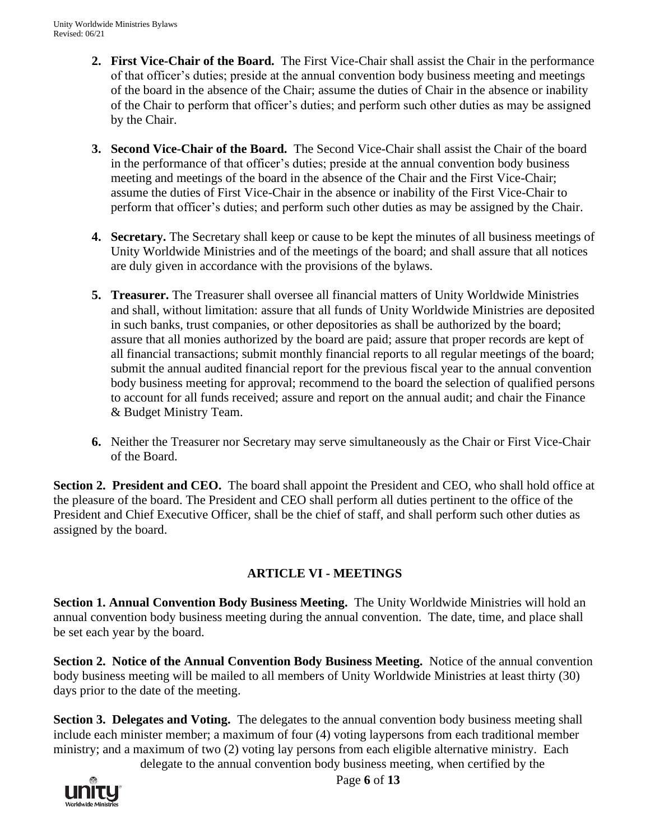- **2. First Vice-Chair of the Board.** The First Vice-Chair shall assist the Chair in the performance of that officer's duties; preside at the annual convention body business meeting and meetings of the board in the absence of the Chair; assume the duties of Chair in the absence or inability of the Chair to perform that officer's duties; and perform such other duties as may be assigned by the Chair.
- **3. Second Vice-Chair of the Board.** The Second Vice-Chair shall assist the Chair of the board in the performance of that officer's duties; preside at the annual convention body business meeting and meetings of the board in the absence of the Chair and the First Vice-Chair; assume the duties of First Vice-Chair in the absence or inability of the First Vice-Chair to perform that officer's duties; and perform such other duties as may be assigned by the Chair.
- **4. Secretary.** The Secretary shall keep or cause to be kept the minutes of all business meetings of Unity Worldwide Ministries and of the meetings of the board; and shall assure that all notices are duly given in accordance with the provisions of the bylaws.
- **5. Treasurer.** The Treasurer shall oversee all financial matters of Unity Worldwide Ministries and shall, without limitation: assure that all funds of Unity Worldwide Ministries are deposited in such banks, trust companies, or other depositories as shall be authorized by the board; assure that all monies authorized by the board are paid; assure that proper records are kept of all financial transactions; submit monthly financial reports to all regular meetings of the board; submit the annual audited financial report for the previous fiscal year to the annual convention body business meeting for approval; recommend to the board the selection of qualified persons to account for all funds received; assure and report on the annual audit; and chair the Finance & Budget Ministry Team.
- **6.** Neither the Treasurer nor Secretary may serve simultaneously as the Chair or First Vice-Chair of the Board.

**Section 2. President and CEO.** The board shall appoint the President and CEO, who shall hold office at the pleasure of the board. The President and CEO shall perform all duties pertinent to the office of the President and Chief Executive Officer, shall be the chief of staff, and shall perform such other duties as assigned by the board.

## **ARTICLE VI - MEETINGS**

**Section 1. Annual Convention Body Business Meeting.** The Unity Worldwide Ministries will hold an annual convention body business meeting during the annual convention. The date, time, and place shall be set each year by the board.

**Section 2. Notice of the Annual Convention Body Business Meeting.** Notice of the annual convention body business meeting will be mailed to all members of Unity Worldwide Ministries at least thirty (30) days prior to the date of the meeting.

**Section 3. Delegates and Voting.** The delegates to the annual convention body business meeting shall include each minister member; a maximum of four (4) voting laypersons from each traditional member ministry; and a maximum of two (2) voting lay persons from each eligible alternative ministry. Each

delegate to the annual convention body business meeting, when certified by the

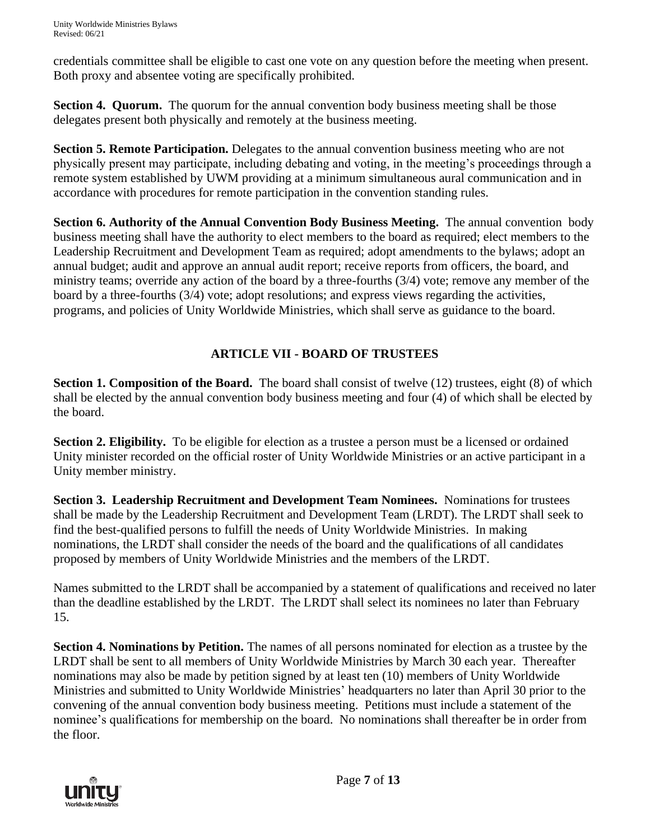Unity Worldwide Ministries Bylaws Revised: 06/21

credentials committee shall be eligible to cast one vote on any question before the meeting when present. Both proxy and absentee voting are specifically prohibited.

**Section 4. Quorum.** The quorum for the annual convention body business meeting shall be those delegates present both physically and remotely at the business meeting.

**Section 5. Remote Participation.** Delegates to the annual convention business meeting who are not physically present may participate, including debating and voting, in the meeting's proceedings through a remote system established by UWM providing at a minimum simultaneous aural communication and in accordance with procedures for remote participation in the convention standing rules.

**Section 6. Authority of the Annual Convention Body Business Meeting.** The annual convention body business meeting shall have the authority to elect members to the board as required; elect members to the Leadership Recruitment and Development Team as required; adopt amendments to the bylaws; adopt an annual budget; audit and approve an annual audit report; receive reports from officers, the board, and ministry teams; override any action of the board by a three-fourths (3/4) vote; remove any member of the board by a three-fourths (3/4) vote; adopt resolutions; and express views regarding the activities, programs, and policies of Unity Worldwide Ministries, which shall serve as guidance to the board.

## **ARTICLE VII - BOARD OF TRUSTEES**

**Section 1. Composition of the Board.** The board shall consist of twelve (12) trustees, eight (8) of which shall be elected by the annual convention body business meeting and four (4) of which shall be elected by the board.

**Section 2. Eligibility.** To be eligible for election as a trustee a person must be a licensed or ordained Unity minister recorded on the official roster of Unity Worldwide Ministries or an active participant in a Unity member ministry.

**Section 3. Leadership Recruitment and Development Team Nominees.** Nominations for trustees shall be made by the Leadership Recruitment and Development Team (LRDT). The LRDT shall seek to find the best-qualified persons to fulfill the needs of Unity Worldwide Ministries. In making nominations, the LRDT shall consider the needs of the board and the qualifications of all candidates proposed by members of Unity Worldwide Ministries and the members of the LRDT.

Names submitted to the LRDT shall be accompanied by a statement of qualifications and received no later than the deadline established by the LRDT. The LRDT shall select its nominees no later than February 15.

**Section 4. Nominations by Petition.** The names of all persons nominated for election as a trustee by the LRDT shall be sent to all members of Unity Worldwide Ministries by March 30 each year. Thereafter nominations may also be made by petition signed by at least ten (10) members of Unity Worldwide Ministries and submitted to Unity Worldwide Ministries' headquarters no later than April 30 prior to the convening of the annual convention body business meeting. Petitions must include a statement of the nominee's qualifications for membership on the board. No nominations shall thereafter be in order from the floor.

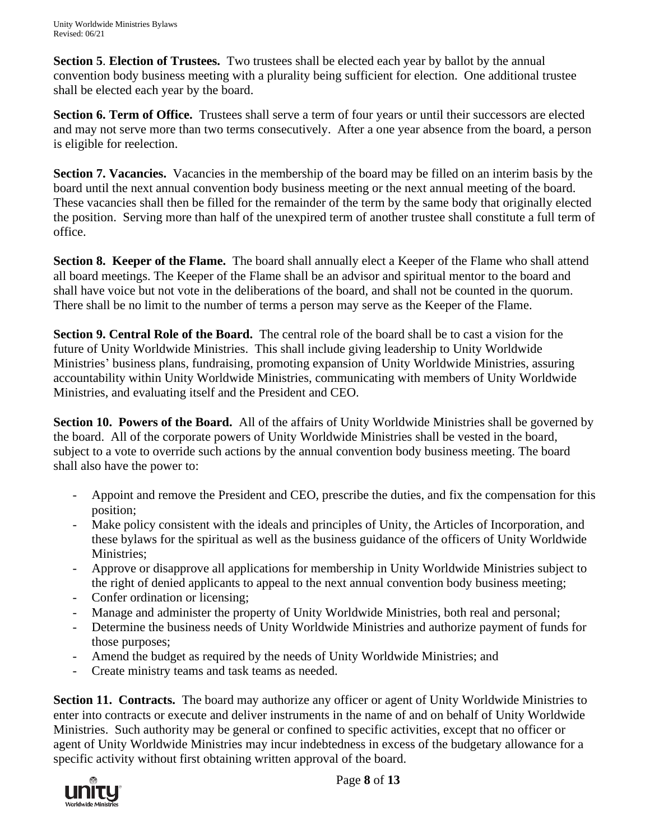**Section 5**. **Election of Trustees.** Two trustees shall be elected each year by ballot by the annual convention body business meeting with a plurality being sufficient for election. One additional trustee shall be elected each year by the board.

Section 6. Term of Office. Trustees shall serve a term of four years or until their successors are elected and may not serve more than two terms consecutively. After a one year absence from the board, a person is eligible for reelection.

**Section 7. Vacancies.** Vacancies in the membership of the board may be filled on an interim basis by the board until the next annual convention body business meeting or the next annual meeting of the board. These vacancies shall then be filled for the remainder of the term by the same body that originally elected the position.Serving more than half of the unexpired term of another trustee shall constitute a full term of office.

**Section 8. Keeper of the Flame.** The board shall annually elect a Keeper of the Flame who shall attend all board meetings. The Keeper of the Flame shall be an advisor and spiritual mentor to the board and shall have voice but not vote in the deliberations of the board, and shall not be counted in the quorum. There shall be no limit to the number of terms a person may serve as the Keeper of the Flame.

**Section 9. Central Role of the Board.** The central role of the board shall be to cast a vision for the future of Unity Worldwide Ministries. This shall include giving leadership to Unity Worldwide Ministries' business plans, fundraising, promoting expansion of Unity Worldwide Ministries, assuring accountability within Unity Worldwide Ministries, communicating with members of Unity Worldwide Ministries, and evaluating itself and the President and CEO.

**Section 10. Powers of the Board.** All of the affairs of Unity Worldwide Ministries shall be governed by the board. All of the corporate powers of Unity Worldwide Ministries shall be vested in the board, subject to a vote to override such actions by the annual convention body business meeting. The board shall also have the power to:

- Appoint and remove the President and CEO, prescribe the duties, and fix the compensation for this position;
- Make policy consistent with the ideals and principles of Unity, the Articles of Incorporation, and these bylaws for the spiritual as well as the business guidance of the officers of Unity Worldwide Ministries;
- Approve or disapprove all applications for membership in Unity Worldwide Ministries subject to the right of denied applicants to appeal to the next annual convention body business meeting;
- Confer ordination or licensing;
- Manage and administer the property of Unity Worldwide Ministries, both real and personal;
- Determine the business needs of Unity Worldwide Ministries and authorize payment of funds for those purposes;
- Amend the budget as required by the needs of Unity Worldwide Ministries; and
- Create ministry teams and task teams as needed.

**Section 11. Contracts.** The board may authorize any officer or agent of Unity Worldwide Ministries to enter into contracts or execute and deliver instruments in the name of and on behalf of Unity Worldwide Ministries. Such authority may be general or confined to specific activities, except that no officer or agent of Unity Worldwide Ministries may incur indebtedness in excess of the budgetary allowance for a specific activity without first obtaining written approval of the board.



Page **8** of **13**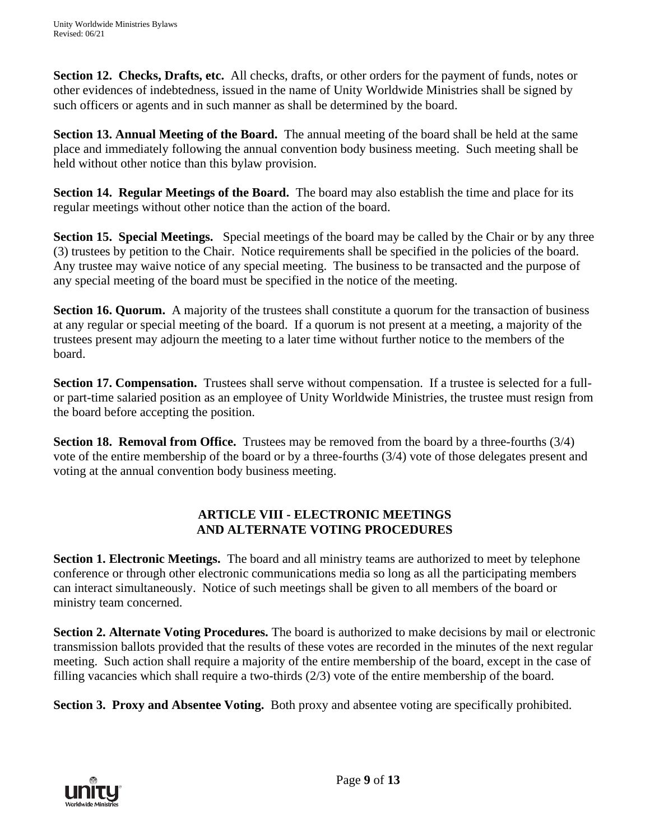**Section 12. Checks, Drafts, etc.** All checks, drafts, or other orders for the payment of funds, notes or other evidences of indebtedness, issued in the name of Unity Worldwide Ministries shall be signed by such officers or agents and in such manner as shall be determined by the board.

**Section 13. Annual Meeting of the Board.** The annual meeting of the board shall be held at the same place and immediately following the annual convention body business meeting. Such meeting shall be held without other notice than this bylaw provision.

**Section 14. Regular Meetings of the Board.** The board may also establish the time and place for its regular meetings without other notice than the action of the board.

**Section 15. Special Meetings.** Special meetings of the board may be called by the Chair or by any three (3) trustees by petition to the Chair. Notice requirements shall be specified in the policies of the board. Any trustee may waive notice of any special meeting. The business to be transacted and the purpose of any special meeting of the board must be specified in the notice of the meeting.

**Section 16. Quorum.** A majority of the trustees shall constitute a quorum for the transaction of business at any regular or special meeting of the board. If a quorum is not present at a meeting, a majority of the trustees present may adjourn the meeting to a later time without further notice to the members of the board.

**Section 17. Compensation.** Trustees shall serve without compensation. If a trustee is selected for a fullor part-time salaried position as an employee of Unity Worldwide Ministries, the trustee must resign from the board before accepting the position.

**Section 18. Removal from Office.** Trustees may be removed from the board by a three-fourths (3/4) vote of the entire membership of the board or by a three-fourths (3/4) vote of those delegates present and voting at the annual convention body business meeting.

#### **ARTICLE VIII - ELECTRONIC MEETINGS AND ALTERNATE VOTING PROCEDURES**

**Section 1. Electronic Meetings.** The board and all ministry teams are authorized to meet by telephone conference or through other electronic communications media so long as all the participating members can interact simultaneously. Notice of such meetings shall be given to all members of the board or ministry team concerned.

**Section 2. Alternate Voting Procedures.** The board is authorized to make decisions by mail or electronic transmission ballots provided that the results of these votes are recorded in the minutes of the next regular meeting. Such action shall require a majority of the entire membership of the board, except in the case of filling vacancies which shall require a two-thirds (2/3) vote of the entire membership of the board.

**Section 3. Proxy and Absentee Voting.** Both proxy and absentee voting are specifically prohibited.

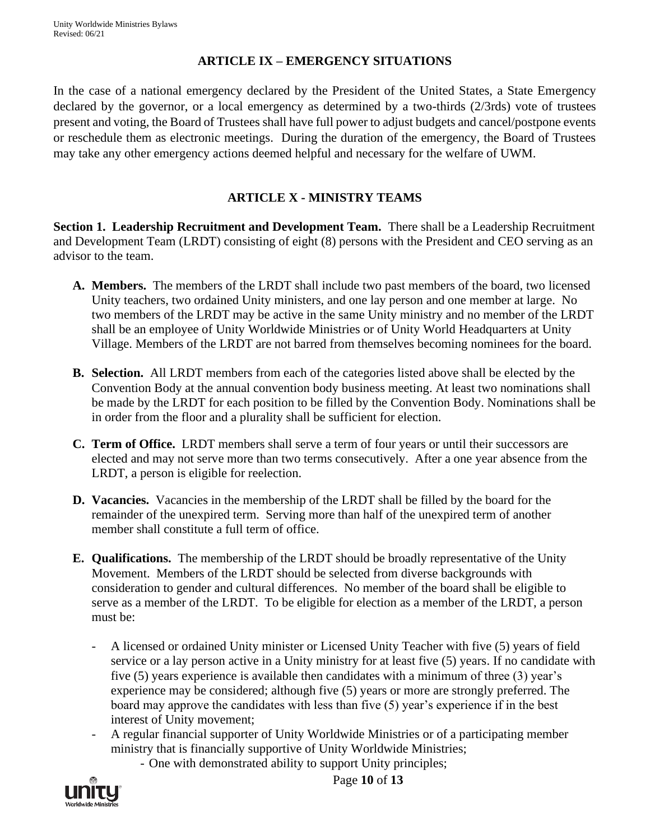#### **ARTICLE IX – EMERGENCY SITUATIONS**

In the case of a national emergency declared by the President of the United States, a State Emergency declared by the governor, or a local emergency as determined by a two-thirds (2/3rds) vote of trustees present and voting, the Board of Trustees shall have full power to adjust budgets and cancel/postpone events or reschedule them as electronic meetings. During the duration of the emergency, the Board of Trustees may take any other emergency actions deemed helpful and necessary for the welfare of UWM.

## **ARTICLE X - MINISTRY TEAMS**

**Section 1. Leadership Recruitment and Development Team.** There shall be a Leadership Recruitment and Development Team (LRDT) consisting of eight (8) persons with the President and CEO serving as an advisor to the team.

- **A. Members.** The members of the LRDT shall include two past members of the board, two licensed Unity teachers, two ordained Unity ministers, and one lay person and one member at large. No two members of the LRDT may be active in the same Unity ministry and no member of the LRDT shall be an employee of Unity Worldwide Ministries or of Unity World Headquarters at Unity Village. Members of the LRDT are not barred from themselves becoming nominees for the board.
- **B. Selection.** All LRDT members from each of the categories listed above shall be elected by the Convention Body at the annual convention body business meeting. At least two nominations shall be made by the LRDT for each position to be filled by the Convention Body. Nominations shall be in order from the floor and a plurality shall be sufficient for election.
- **C. Term of Office.** LRDT members shall serve a term of four years or until their successors are elected and may not serve more than two terms consecutively. After a one year absence from the LRDT, a person is eligible for reelection.
- **D. Vacancies.** Vacancies in the membership of the LRDT shall be filled by the board for the remainder of the unexpired term. Serving more than half of the unexpired term of another member shall constitute a full term of office.
- **E. Qualifications.** The membership of the LRDT should be broadly representative of the Unity Movement. Members of the LRDT should be selected from diverse backgrounds with consideration to gender and cultural differences. No member of the board shall be eligible to serve as a member of the LRDT. To be eligible for election as a member of the LRDT, a person must be:
	- A licensed or ordained Unity minister or Licensed Unity Teacher with five (5) years of field service or a lay person active in a Unity ministry for at least five (5) years. If no candidate with five (5) years experience is available then candidates with a minimum of three (3) year's experience may be considered; although five (5) years or more are strongly preferred. The board may approve the candidates with less than five (5) year's experience if in the best interest of Unity movement;
	- A regular financial supporter of Unity Worldwide Ministries or of a participating member ministry that is financially supportive of Unity Worldwide Ministries;
		- One with demonstrated ability to support Unity principles;



Page **10** of **13**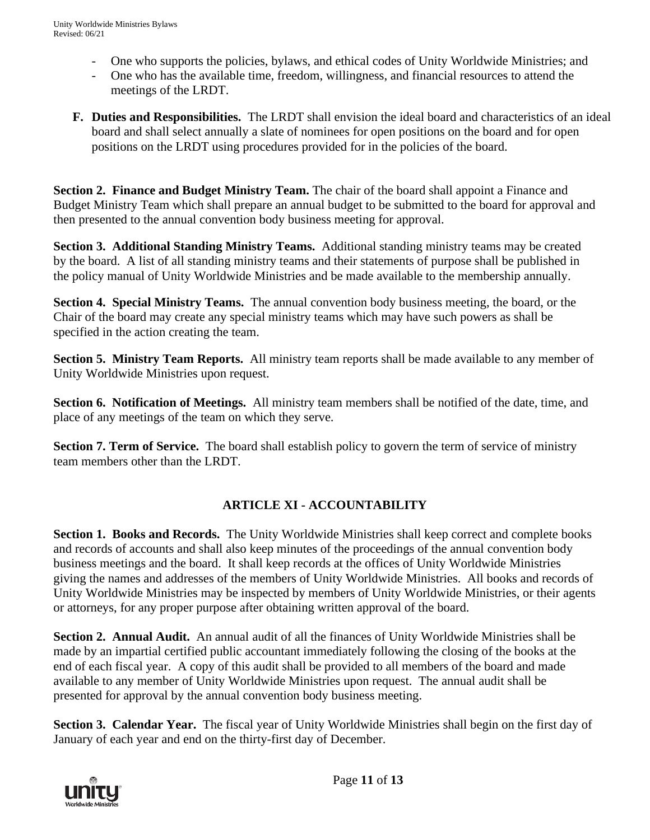- One who supports the policies, bylaws, and ethical codes of Unity Worldwide Ministries; and
- One who has the available time, freedom, willingness, and financial resources to attend the meetings of the LRDT.
- **F. Duties and Responsibilities.** The LRDT shall envision the ideal board and characteristics of an ideal board and shall select annually a slate of nominees for open positions on the board and for open positions on the LRDT using procedures provided for in the policies of the board.

**Section 2. Finance and Budget Ministry Team.** The chair of the board shall appoint a Finance and Budget Ministry Team which shall prepare an annual budget to be submitted to the board for approval and then presented to the annual convention body business meeting for approval.

**Section 3. Additional Standing Ministry Teams.** Additional standing ministry teams may be created by the board. A list of all standing ministry teams and their statements of purpose shall be published in the policy manual of Unity Worldwide Ministries and be made available to the membership annually.

**Section 4. Special Ministry Teams.** The annual convention body business meeting, the board, or the Chair of the board may create any special ministry teams which may have such powers as shall be specified in the action creating the team.

**Section 5. Ministry Team Reports.** All ministry team reports shall be made available to any member of Unity Worldwide Ministries upon request.

**Section 6. Notification of Meetings.** All ministry team members shall be notified of the date, time, and place of any meetings of the team on which they serve.

**Section 7. Term of Service.** The board shall establish policy to govern the term of service of ministry team members other than the LRDT.

# **ARTICLE XI - ACCOUNTABILITY**

**Section 1. Books and Records.** The Unity Worldwide Ministries shall keep correct and complete books and records of accounts and shall also keep minutes of the proceedings of the annual convention body business meetings and the board. It shall keep records at the offices of Unity Worldwide Ministries giving the names and addresses of the members of Unity Worldwide Ministries. All books and records of Unity Worldwide Ministries may be inspected by members of Unity Worldwide Ministries, or their agents or attorneys, for any proper purpose after obtaining written approval of the board.

**Section 2. Annual Audit.** An annual audit of all the finances of Unity Worldwide Ministries shall be made by an impartial certified public accountant immediately following the closing of the books at the end of each fiscal year. A copy of this audit shall be provided to all members of the board and made available to any member of Unity Worldwide Ministries upon request. The annual audit shall be presented for approval by the annual convention body business meeting.

**Section 3. Calendar Year.** The fiscal year of Unity Worldwide Ministries shall begin on the first day of January of each year and end on the thirty-first day of December.



Page **11** of **13**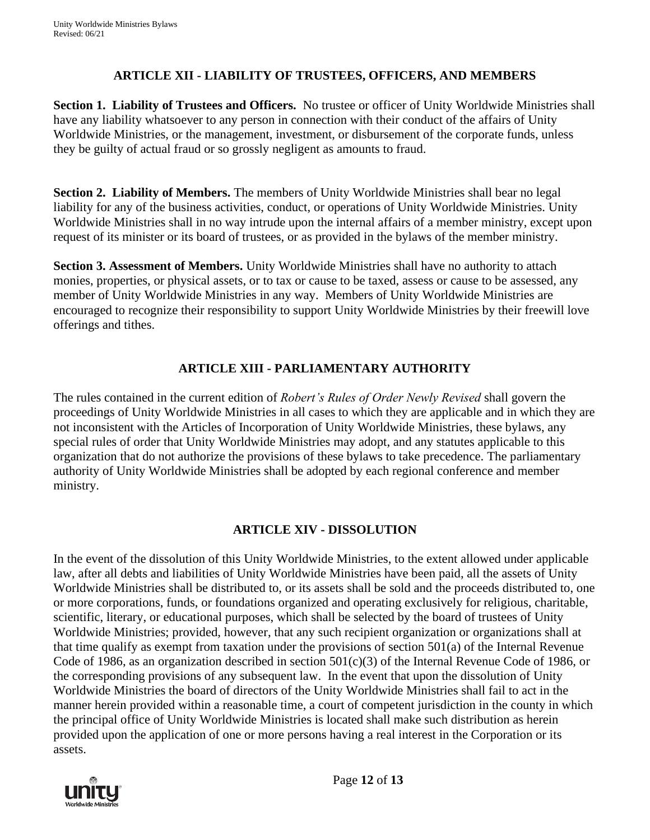## **ARTICLE XII - LIABILITY OF TRUSTEES, OFFICERS, AND MEMBERS**

**Section 1. Liability of Trustees and Officers.** No trustee or officer of Unity Worldwide Ministries shall have any liability whatsoever to any person in connection with their conduct of the affairs of Unity Worldwide Ministries, or the management, investment, or disbursement of the corporate funds, unless they be guilty of actual fraud or so grossly negligent as amounts to fraud.

**Section 2. Liability of Members.** The members of Unity Worldwide Ministries shall bear no legal liability for any of the business activities, conduct, or operations of Unity Worldwide Ministries. Unity Worldwide Ministries shall in no way intrude upon the internal affairs of a member ministry, except upon request of its minister or its board of trustees, or as provided in the bylaws of the member ministry.

**Section 3. Assessment of Members.** Unity Worldwide Ministries shall have no authority to attach monies, properties, or physical assets, or to tax or cause to be taxed, assess or cause to be assessed, any member of Unity Worldwide Ministries in any way. Members of Unity Worldwide Ministries are encouraged to recognize their responsibility to support Unity Worldwide Ministries by their freewill love offerings and tithes.

#### **ARTICLE XIII - PARLIAMENTARY AUTHORITY**

The rules contained in the current edition of *Robert's Rules of Order Newly Revised* shall govern the proceedings of Unity Worldwide Ministries in all cases to which they are applicable and in which they are not inconsistent with the Articles of Incorporation of Unity Worldwide Ministries, these bylaws, any special rules of order that Unity Worldwide Ministries may adopt, and any statutes applicable to this organization that do not authorize the provisions of these bylaws to take precedence. The parliamentary authority of Unity Worldwide Ministries shall be adopted by each regional conference and member ministry.

#### **ARTICLE XIV - DISSOLUTION**

In the event of the dissolution of this Unity Worldwide Ministries, to the extent allowed under applicable law, after all debts and liabilities of Unity Worldwide Ministries have been paid, all the assets of Unity Worldwide Ministries shall be distributed to, or its assets shall be sold and the proceeds distributed to, one or more corporations, funds, or foundations organized and operating exclusively for religious, charitable, scientific, literary, or educational purposes, which shall be selected by the board of trustees of Unity Worldwide Ministries; provided, however, that any such recipient organization or organizations shall at that time qualify as exempt from taxation under the provisions of section 501(a) of the Internal Revenue Code of 1986, as an organization described in section 501(c)(3) of the Internal Revenue Code of 1986, or the corresponding provisions of any subsequent law. In the event that upon the dissolution of Unity Worldwide Ministries the board of directors of the Unity Worldwide Ministries shall fail to act in the manner herein provided within a reasonable time, a court of competent jurisdiction in the county in which the principal office of Unity Worldwide Ministries is located shall make such distribution as herein provided upon the application of one or more persons having a real interest in the Corporation or its assets.



Page **12** of **13**